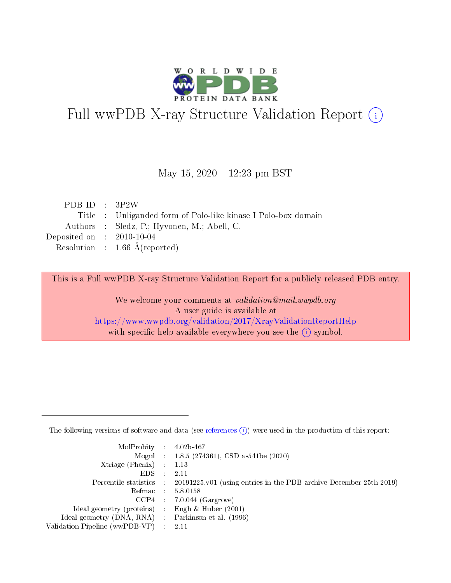

# Full wwPDB X-ray Structure Validation Report (i)

#### May 15,  $2020 - 12:23$  pm BST

| PDB ID : $3P2W$                      |                                                              |
|--------------------------------------|--------------------------------------------------------------|
|                                      | Title: Unliganded form of Polo-like kinase I Polo-box domain |
|                                      | Authors : Sledz, P.; Hyvonen, M.; Abell, C.                  |
| Deposited on $\therefore$ 2010-10-04 |                                                              |
|                                      | Resolution : $1.66 \text{ Å}$ (reported)                     |

This is a Full wwPDB X-ray Structure Validation Report for a publicly released PDB entry.

We welcome your comments at validation@mail.wwpdb.org A user guide is available at <https://www.wwpdb.org/validation/2017/XrayValidationReportHelp> with specific help available everywhere you see the  $(i)$  symbol.

The following versions of software and data (see [references](https://www.wwpdb.org/validation/2017/XrayValidationReportHelp#references)  $(1)$ ) were used in the production of this report:

| MolProbity : $4.02b-467$                            |                                                                                            |
|-----------------------------------------------------|--------------------------------------------------------------------------------------------|
|                                                     | Mogul : $1.8.5$ (274361), CSD as 541be (2020)                                              |
| $Xtriangle (Phenix)$ : 1.13                         |                                                                                            |
| $EDS$ :                                             | -2.11                                                                                      |
|                                                     | Percentile statistics : 20191225.v01 (using entries in the PDB archive December 25th 2019) |
| Refmac : 5.8.0158                                   |                                                                                            |
|                                                     | $CCP4$ 7.0.044 (Gargrove)                                                                  |
| Ideal geometry (proteins) : Engh $\&$ Huber (2001)  |                                                                                            |
| Ideal geometry (DNA, RNA) : Parkinson et al. (1996) |                                                                                            |
| Validation Pipeline (wwPDB-VP) : 2.11               |                                                                                            |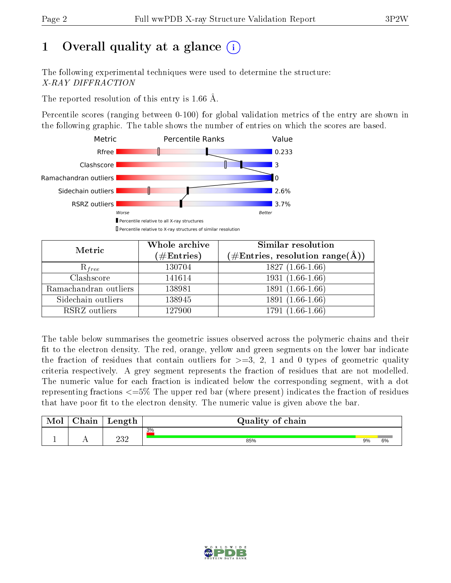# 1 [O](https://www.wwpdb.org/validation/2017/XrayValidationReportHelp#overall_quality)verall quality at a glance  $(i)$

The following experimental techniques were used to determine the structure: X-RAY DIFFRACTION

The reported resolution of this entry is 1.66 Å.

Percentile scores (ranging between 0-100) for global validation metrics of the entry are shown in the following graphic. The table shows the number of entries on which the scores are based.



| Metric                | Whole archive<br>$(\#\text{Entries})$ | <b>Similar resolution</b><br>$(\#\text{Entries},\,\text{resolution}\,\,\text{range}(\textup{\AA}))$ |  |  |
|-----------------------|---------------------------------------|-----------------------------------------------------------------------------------------------------|--|--|
| $R_{free}$            | 130704                                | $1827(1.66-1.66)$                                                                                   |  |  |
| Clashscore            | 141614                                | $1931(1.66-1.66)$                                                                                   |  |  |
| Ramachandran outliers | 138981                                | $1891(1.66-1.66)$                                                                                   |  |  |
| Sidechain outliers    | 138945                                | 1891 (1.66-1.66)                                                                                    |  |  |
| RSRZ outliers         | 127900                                | $1791(1.66-1.66)$                                                                                   |  |  |

The table below summarises the geometric issues observed across the polymeric chains and their fit to the electron density. The red, orange, yellow and green segments on the lower bar indicate the fraction of residues that contain outliers for  $>=3, 2, 1$  and 0 types of geometric quality criteria respectively. A grey segment represents the fraction of residues that are not modelled. The numeric value for each fraction is indicated below the corresponding segment, with a dot representing fractions  $\epsilon=5\%$  The upper red bar (where present) indicates the fraction of residues that have poor fit to the electron density. The numeric value is given above the bar.

| Mol | $\sim$ $\sim$<br>hain | Length      | Quality of chain |    |    |  |  |  |  |
|-----|-----------------------|-------------|------------------|----|----|--|--|--|--|
|     |                       |             | 3%               |    |    |  |  |  |  |
| л.  | . .                   | ດາ ດ<br>∠∪∠ | 85%              | 9% | 6% |  |  |  |  |

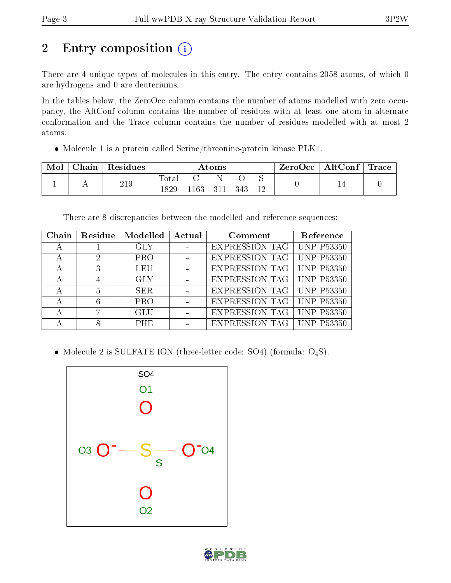# 2 Entry composition (i)

There are 4 unique types of molecules in this entry. The entry contains 2058 atoms, of which 0 are hydrogens and 0 are deuteriums.

In the tables below, the ZeroOcc column contains the number of atoms modelled with zero occupancy, the AltConf column contains the number of residues with at least one atom in alternate conformation and the Trace column contains the number of residues modelled with at most 2 atoms.

Molecule 1 is a protein called Serine/threonine-protein kinase PLK1.

| Mol | Chain Residues | Atoms        |     |     |     |  | $\mid$ ZeroOcc $\mid$ AltConf $\mid$ Trace $\mid$ |  |
|-----|----------------|--------------|-----|-----|-----|--|---------------------------------------------------|--|
|     | 219            | Total<br>829 | 163 | 311 | 343 |  |                                                   |  |

There are 8 discrepancies between the modelled and reference sequences:

| Chain | Residue | Modelled   | Actual | Comment                            | Reference         |
|-------|---------|------------|--------|------------------------------------|-------------------|
| А     |         | <b>GLY</b> |        | <b>EXPRESSION TAG   UNP P53350</b> |                   |
|       | 2       | <b>PRO</b> |        | <b>EXPRESSION TAG   UNP P53350</b> |                   |
|       | 3       | <b>LEU</b> |        | <b>EXPRESSION TAG   UNP P53350</b> |                   |
|       |         | GLY.       |        | <b>EXPRESSION TAG   UNP P53350</b> |                   |
| А     | 5       | SER.       |        | <b>EXPRESSION TAG   UNP P53350</b> |                   |
|       | 6       | <b>PRO</b> |        | <b>EXPRESSION TAG   UNP P53350</b> |                   |
|       |         | <b>GLU</b> |        | <b>EXPRESSION TAG</b>              | <b>UNP P53350</b> |
|       |         | <b>PHE</b> |        | <b>EXPRESSION TAG</b> UNP P53350   |                   |

• Molecule 2 is SULFATE ION (three-letter code: SO4) (formula:  $O_4S$ ).



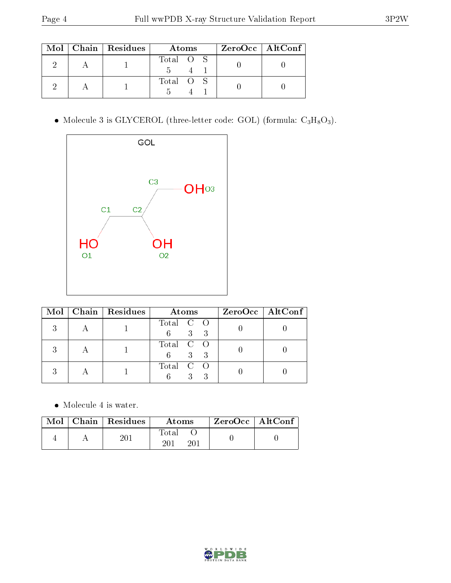|  | $Mol$   Chain   Residues | Atoms     | ZeroOcc   AltConf |
|--|--------------------------|-----------|-------------------|
|  |                          | Total O S |                   |
|  |                          | Total O S |                   |

• Molecule 3 is GLYCEROL (three-letter code: GOL) (formula:  $C_3H_8O_3$ ).



|  | Mol   Chain   Residues | Atoms                                   | $ZeroOcc \   \ AltConf \  $ |
|--|------------------------|-----------------------------------------|-----------------------------|
|  |                        | Total C O<br>$3 \quad 3$                |                             |
|  |                        | Total C O<br>$\overline{3}$<br>6.<br>-3 |                             |
|  |                        | Total C O<br>3<br>3                     |                             |

• Molecule 4 is water.

|  | $Mol$   Chain   Residues | Atoms                 | $ZeroOcc$   AltConf |  |
|--|--------------------------|-----------------------|---------------------|--|
|  | $201\,$                  | Total<br>$20^{\circ}$ |                     |  |

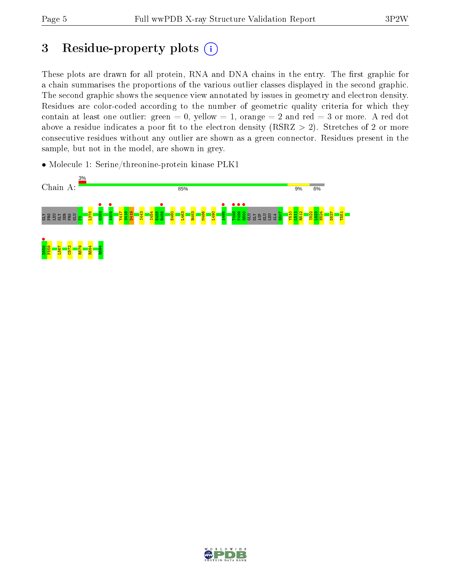## 3 Residue-property plots  $(i)$

These plots are drawn for all protein, RNA and DNA chains in the entry. The first graphic for a chain summarises the proportions of the various outlier classes displayed in the second graphic. The second graphic shows the sequence view annotated by issues in geometry and electron density. Residues are color-coded according to the number of geometric quality criteria for which they contain at least one outlier: green  $= 0$ , yellow  $= 1$ , orange  $= 2$  and red  $= 3$  or more. A red dot above a residue indicates a poor fit to the electron density (RSRZ  $> 2$ ). Stretches of 2 or more consecutive residues without any outlier are shown as a green connector. Residues present in the sample, but not in the model, are shown in grey.

• Molecule 1: Serine/threonine-protein kinase PLK1



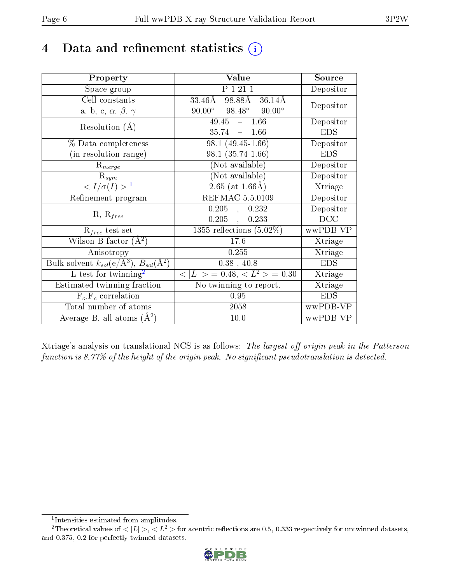## 4 Data and refinement statistics  $(i)$

| Property                                                             | Value                                           | Source     |
|----------------------------------------------------------------------|-------------------------------------------------|------------|
| Space group                                                          | P 1 21 1                                        | Depositor  |
| Cell constants                                                       | 98.88Å<br>$33.46\text{\AA}$<br>36.14Å           | Depositor  |
| a, b, c, $\alpha$ , $\beta$ , $\gamma$                               | $90.00^{\circ}$ $98.48^{\circ}$ $90.00^{\circ}$ |            |
| Resolution $(A)$                                                     | $49.45 - 1.66$                                  | Depositor  |
|                                                                      | 35.74<br>$-1.66$                                | <b>EDS</b> |
| % Data completeness                                                  | $\overline{98.1}$ (49.45-1.66)                  | Depositor  |
| (in resolution range)                                                | $98.1(35.74-1.66)$                              | <b>EDS</b> |
| $R_{merge}$                                                          | (Not available)                                 | Depositor  |
| $\mathbf{R}_{sym}$                                                   | (Not available)                                 | Depositor  |
| $\langle I/\sigma(I) \rangle$ <sup>1</sup>                           | $2.65$ (at 1.66Å)                               | Xtriage    |
| Refinement program                                                   | REFMAC 5.5.0109                                 | Depositor  |
|                                                                      | $0.205$ ,<br>0.232                              | Depositor  |
| $R, R_{free}$                                                        | $0.205$ ,<br>0.233                              | DCC        |
| $R_{free}$ test set                                                  | 1355 reflections $(5.02\%)$                     | wwPDB-VP   |
| Wilson B-factor $(A^2)$                                              | 17.6                                            | Xtriage    |
| Anisotropy                                                           | 0.255                                           | Xtriage    |
| Bulk solvent $k_{sol}(e/\mathring{A}^3)$ , $B_{sol}(\mathring{A}^2)$ | $0.38$ , 40.8                                   | <b>EDS</b> |
| L-test for twinning <sup>2</sup>                                     | $< L >$ = 0.48, $< L2 >$ = 0.30                 | Xtriage    |
| Estimated twinning fraction                                          | No twinning to report.                          | Xtriage    |
| $F_o, F_c$ correlation                                               | 0.95                                            | <b>EDS</b> |
| Total number of atoms                                                | 2058                                            | wwPDB-VP   |
| Average B, all atoms $(A^2)$                                         | 10.0                                            | wwPDB-VP   |

Xtriage's analysis on translational NCS is as follows: The largest off-origin peak in the Patterson function is 8.77% of the height of the origin peak. No significant pseudotranslation is detected.

<sup>&</sup>lt;sup>2</sup>Theoretical values of  $\langle |L| \rangle$ ,  $\langle L^2 \rangle$  for acentric reflections are 0.5, 0.333 respectively for untwinned datasets, and 0.375, 0.2 for perfectly twinned datasets.



<span id="page-5-1"></span><span id="page-5-0"></span><sup>1</sup> Intensities estimated from amplitudes.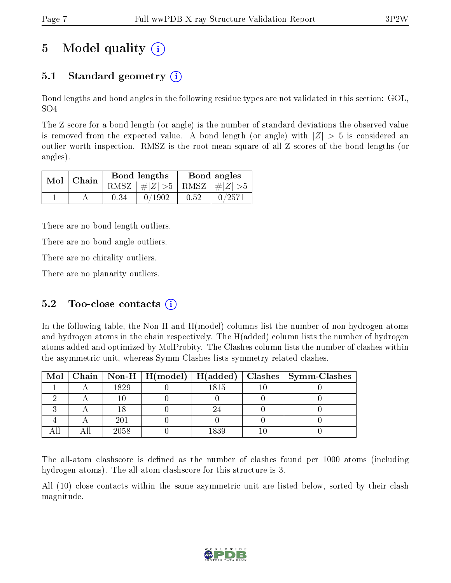# 5 Model quality  $(i)$

## 5.1 Standard geometry  $(i)$

Bond lengths and bond angles in the following residue types are not validated in this section: GOL, SO4

The Z score for a bond length (or angle) is the number of standard deviations the observed value is removed from the expected value. A bond length (or angle) with  $|Z| > 5$  is considered an outlier worth inspection. RMSZ is the root-mean-square of all Z scores of the bond lengths (or angles).

| $Mol$   Chain |      | Bond lengths                    | Bond angles |        |  |
|---------------|------|---------------------------------|-------------|--------|--|
|               |      | RMSZ $ #Z  > 5$ RMSZ $ #Z  > 5$ |             |        |  |
|               | 0.34 | 0/1902                          | 0.52        | 0/2571 |  |

There are no bond length outliers.

There are no bond angle outliers.

There are no chirality outliers.

There are no planarity outliers.

## 5.2 Too-close contacts  $(i)$

In the following table, the Non-H and H(model) columns list the number of non-hydrogen atoms and hydrogen atoms in the chain respectively. The H(added) column lists the number of hydrogen atoms added and optimized by MolProbity. The Clashes column lists the number of clashes within the asymmetric unit, whereas Symm-Clashes lists symmetry related clashes.

|  |      |      | Mol   Chain   Non-H   H(model)   H(added)   Clashes   Symm-Clashes |
|--|------|------|--------------------------------------------------------------------|
|  | 1829 | 1815 |                                                                    |
|  |      |      |                                                                    |
|  |      |      |                                                                    |
|  | 201  |      |                                                                    |
|  | 2058 | 1839 |                                                                    |

The all-atom clashscore is defined as the number of clashes found per 1000 atoms (including hydrogen atoms). The all-atom clashscore for this structure is 3.

All (10) close contacts within the same asymmetric unit are listed below, sorted by their clash magnitude.

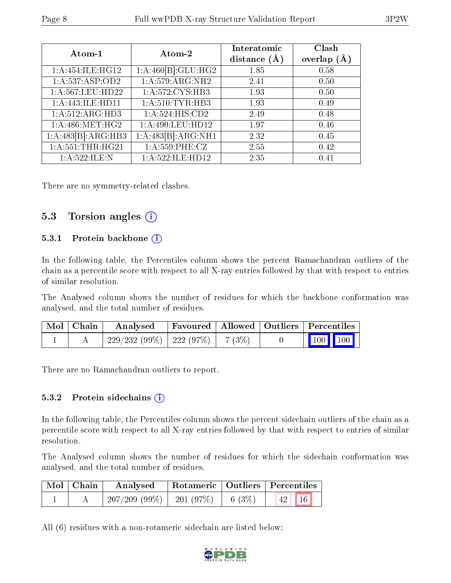| Atom-1              | Atom-2              | Interatomic<br>distance $(A)$ | Clash<br>overlap $(A)$ |
|---------------------|---------------------|-------------------------------|------------------------|
| 1: A:454: ILE: HG12 | 1:A:460[B]:GLU:HG2  | 1.85                          | 0.58                   |
| 1:A:537:ASP:OD2     | 1: A:579: ARG: NH2  | 2.41                          | 0.50                   |
| 1:A:567:LEU:HD22    | 1: A:572: CYS:HB3   | 1.93                          | 0.50                   |
| 1:A:443:ILE:HD11    | 1: A:510: TYR: HB3  | 1.93                          | 0.49                   |
| 1:A:512:ARG:HD3     | 1:A:524:HIS:CD2     | 2.49                          | 0.48                   |
| 1: A:486: MET:HG2   | 1: A:490: LEU: HD12 | 1.97                          | 0.46                   |
| 1:A:483[B]:ARG:HB3  | 1:A:483[B]:ARG:NH1  | 2.32                          | 0.45                   |
| 1: A: 551:THR: HG21 | 1: A: 559: PHE: CZ  | 2.55                          | 0.42                   |
| 1: A:522: ILE:N     | 1: A:522: ILE: HD12 | 2.35                          | 0.41                   |

There are no symmetry-related clashes.

### 5.3 Torsion angles (i)

#### 5.3.1 Protein backbone (i)

In the following table, the Percentiles column shows the percent Ramachandran outliers of the chain as a percentile score with respect to all X-ray entries followed by that with respect to entries of similar resolution.

The Analysed column shows the number of residues for which the backbone conformation was analysed, and the total number of residues.

| Mol   Chain | Analysed                               |  | Favoured   Allowed   Outliers   Percentiles |  |
|-------------|----------------------------------------|--|---------------------------------------------|--|
|             | $229/232(99\%)$   222 (97\%)   7 (3\%) |  | $\boxed{100}$ $\boxed{100}$                 |  |

There are no Ramachandran outliers to report.

#### $5.3.2$  Protein sidechains  $(i)$

In the following table, the Percentiles column shows the percent sidechain outliers of the chain as a percentile score with respect to all X-ray entries followed by that with respect to entries of similar resolution.

The Analysed column shows the number of residues for which the sidechain conformation was analysed, and the total number of residues.

| Mol   Chain | Analysed                      |        | Rotameric   Outliers   Percentiles |  |
|-------------|-------------------------------|--------|------------------------------------|--|
|             | $207/209$ (99\%)   201 (97\%) | 6 (3%) | 16 <br>42                          |  |

All (6) residues with a non-rotameric sidechain are listed below:

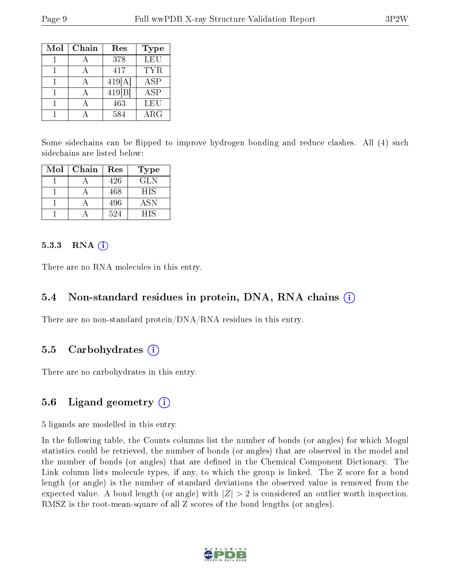| Mol | Chain | Res    | Type        |
|-----|-------|--------|-------------|
|     |       | 378    | LEU         |
|     |       | 417    | TYR         |
|     |       | 419[A] | <b>ASP</b>  |
|     |       | 419 B  | ASP         |
|     |       | 463    | LEU         |
|     |       | 584    | ${\rm ARG}$ |

Some sidechains can be flipped to improve hydrogen bonding and reduce clashes. All (4) such sidechains are listed below:

| Mol | Chain | Res | Type       |
|-----|-------|-----|------------|
|     |       | 426 | GL N       |
|     |       | 468 | <b>HIS</b> |
|     |       | 496 | <b>ASN</b> |
|     |       | 524 | HIS        |

#### 5.3.3 RNA  $(i)$

There are no RNA molecules in this entry.

#### 5.4 Non-standard residues in protein, DNA, RNA chains (i)

There are no non-standard protein/DNA/RNA residues in this entry.

#### 5.5 Carbohydrates (i)

There are no carbohydrates in this entry.

## 5.6 Ligand geometry (i)

5 ligands are modelled in this entry.

In the following table, the Counts columns list the number of bonds (or angles) for which Mogul statistics could be retrieved, the number of bonds (or angles) that are observed in the model and the number of bonds (or angles) that are dened in the Chemical Component Dictionary. The Link column lists molecule types, if any, to which the group is linked. The Z score for a bond length (or angle) is the number of standard deviations the observed value is removed from the expected value. A bond length (or angle) with  $|Z| > 2$  is considered an outlier worth inspection. RMSZ is the root-mean-square of all Z scores of the bond lengths (or angles).

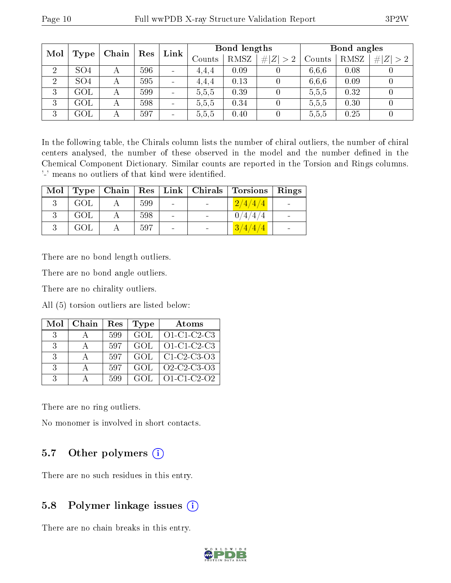| Mol            |                 |       | Res | Link                     | Bond lengths |      |         | Bond angles |      |         |
|----------------|-----------------|-------|-----|--------------------------|--------------|------|---------|-------------|------|---------|
|                | Type            | Chain |     |                          | Counts       | RMSZ | Z   > 2 | Counts      | RMSZ | Z <br># |
| $\overline{2}$ | SO <sub>4</sub> | А     | 596 | $\sim$                   | 4.4.4        | 0.09 |         | 6.6.6       | 0.08 |         |
| $\overline{2}$ | SO <sub>4</sub> | А     | 595 | $\overline{\phantom{a}}$ | 4.4.4        | 0.13 |         | 6.6.6       | 0.09 |         |
| 3              | GOL             | А     | 599 | $\overline{\phantom{a}}$ | 5,5,5        | 0.39 |         | 5,5,5       | 0.32 |         |
| 3              | GOL             |       | 598 | $\overline{\phantom{a}}$ | 5,5,5        | 0.34 |         | 5,5,5       | 0.30 |         |
| 3              | GOL             | А     | 597 | $\overline{\phantom{a}}$ | 5,5,5        | 0.40 |         | 5.5.5       | 0.25 |         |

In the following table, the Chirals column lists the number of chiral outliers, the number of chiral centers analysed, the number of these observed in the model and the number defined in the Chemical Component Dictionary. Similar counts are reported in the Torsion and Rings columns. '-' means no outliers of that kind were identified.

| Mol |     |     |                          | $Type   Chain   Res   Link   Christmas   Torsions$ | Rings |
|-----|-----|-----|--------------------------|----------------------------------------------------|-------|
|     | GOL | 599 | $\sim$                   | 2/4/4/4                                            |       |
|     | GOL | 598 | $\overline{\phantom{0}}$ | 44/4                                               |       |
|     | GOL | 597 |                          | 3/4/4/4                                            |       |

There are no bond length outliers.

There are no bond angle outliers.

There are no chirality outliers.

All (5) torsion outliers are listed below:

| Mol           | Chain | Res | <b>Type</b> | Atoms                                                          |
|---------------|-------|-----|-------------|----------------------------------------------------------------|
| $\mathcal{S}$ |       | 599 | GOL         | $O1-C1-C2-C3$                                                  |
| -3-           |       | 597 | GOL         | $O1-C1-C2-C3$                                                  |
| -3-           |       | 597 | GOL         | $C1-C2-C3-C3$                                                  |
| -3-           |       | 597 | GOL         | O <sub>2</sub> -C <sub>2</sub> -C <sub>3</sub> -O <sub>3</sub> |
| $\mathcal{R}$ |       | 599 | GOL         | $O1 - C1 - C2 - O2$                                            |

There are no ring outliers.

No monomer is involved in short contacts.

## 5.7 [O](https://www.wwpdb.org/validation/2017/XrayValidationReportHelp#nonstandard_residues_and_ligands)ther polymers  $(i)$

There are no such residues in this entry.

## 5.8 Polymer linkage issues  $(i)$

There are no chain breaks in this entry.

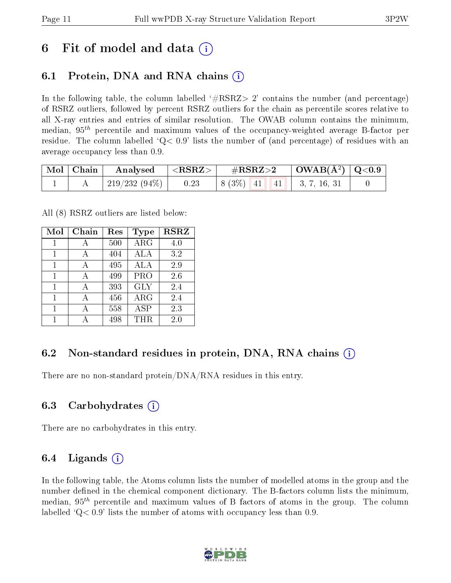## 6 Fit of model and data  $\left( \cdot \right)$

## 6.1 Protein, DNA and RNA chains (i)

In the following table, the column labelled  $#RSRZ>2'$  contains the number (and percentage) of RSRZ outliers, followed by percent RSRZ outliers for the chain as percentile scores relative to all X-ray entries and entries of similar resolution. The OWAB column contains the minimum, median,  $95<sup>th</sup>$  percentile and maximum values of the occupancy-weighted average B-factor per residue. The column labelled  $Q < 0.9$  lists the number of (and percentage) of residues with an average occupancy less than 0.9.

| $\mid$ Mol $\mid$ Chain | Analysed        | $\,$ $\rm <$ $\rm RSRZ\rm >$ $\,$ | $\#\text{RSRZ}{>}2$                                  | $\mid$ OWAB(Å <sup>2</sup> ) $\mid$ Q<0.9 $\mid$ |  |
|-------------------------|-----------------|-----------------------------------|------------------------------------------------------|--------------------------------------------------|--|
|                         | $219/232(94\%)$ | 0.23                              | $\vert 8 (3\%) \vert 41 \vert 41 \vert 3, 7, 16, 31$ |                                                  |  |

All (8) RSRZ outliers are listed below:

| Mol | $Chain$ | $\operatorname{Res}% \left( \mathcal{N}\right) \equiv\operatorname{Res}(\mathcal{N}_{0},\mathcal{N}_{0})$ | Type       | <b>RSRZ</b> |
|-----|---------|-----------------------------------------------------------------------------------------------------------|------------|-------------|
| 1   | А       | 500                                                                                                       | ARG        | 4.0         |
| 1   | А       | 404                                                                                                       | ALA        | 3.2         |
| 1   | А       | 495                                                                                                       | ALA        | 2.9         |
| 1   | А       | 499                                                                                                       | <b>PRO</b> | 2.6         |
| 1   | А       | 393                                                                                                       | <b>GLY</b> | 2.4         |
| 1   |         | 456                                                                                                       | $\rm{ARG}$ | 2.4         |
|     |         | 558                                                                                                       | ASP        | 2.3         |
|     |         | 498                                                                                                       | THR.       | 2.0         |

## 6.2 Non-standard residues in protein, DNA, RNA chains  $(i)$

There are no non-standard protein/DNA/RNA residues in this entry.

#### 6.3 Carbohydrates (i)

There are no carbohydrates in this entry.

#### 6.4 Ligands  $(i)$

In the following table, the Atoms column lists the number of modelled atoms in the group and the number defined in the chemical component dictionary. The B-factors column lists the minimum, median,  $95<sup>th</sup>$  percentile and maximum values of B factors of atoms in the group. The column labelled  $Q< 0.9$ ' lists the number of atoms with occupancy less than 0.9.